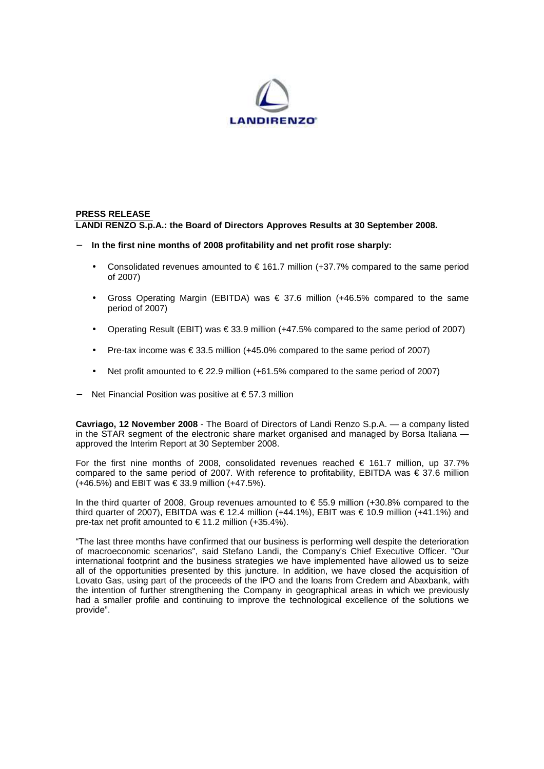

# **PRESS RELEASE LANDI RENZO S.p.A.: the Board of Directors Approves Results at 30 September 2008.**

- − **In the first nine months of 2008 profitability and net profit rose sharply:**
	- Consolidated revenues amounted to  $\epsilon$  161.7 million (+37.7% compared to the same period of 2007)
	- Gross Operating Margin (EBITDA) was  $\epsilon$  37.6 million (+46.5% compared to the same period of 2007)
	- Operating Result (EBIT) was  $\epsilon$  33.9 million (+47.5% compared to the same period of 2007)
	- Pre-tax income was  $\in$  33.5 million (+45.0% compared to the same period of 2007)
	- Net profit amounted to  $\in$  22.9 million (+61.5% compared to the same period of 2007)
- − Net Financial Position was positive at € 57.3 million

**Cavriago, 12 November 2008** - The Board of Directors of Landi Renzo S.p.A. — a company listed in the STAR segment of the electronic share market organised and managed by Borsa Italiana approved the Interim Report at 30 September 2008.

For the first nine months of 2008, consolidated revenues reached  $\epsilon$  161.7 million, up 37.7% compared to the same period of 2007. With reference to profitability, EBITDA was  $\in$  37.6 million  $(+46.5%)$  and EBIT was € 33.9 million  $(+47.5%)$ .

In the third quarter of 2008, Group revenues amounted to € 55.9 million (+30.8% compared to the third quarter of 2007), EBITDA was  $\in$  12.4 million (+44.1%), EBIT was  $\in$  10.9 million (+41.1%) and pre-tax net profit amounted to  $\in$  11.2 million (+35.4%).

"The last three months have confirmed that our business is performing well despite the deterioration of macroeconomic scenarios", said Stefano Landi, the Company's Chief Executive Officer. "Our international footprint and the business strategies we have implemented have allowed us to seize all of the opportunities presented by this juncture. In addition, we have closed the acquisition of Lovato Gas, using part of the proceeds of the IPO and the loans from Credem and Abaxbank, with the intention of further strengthening the Company in geographical areas in which we previously had a smaller profile and continuing to improve the technological excellence of the solutions we provide".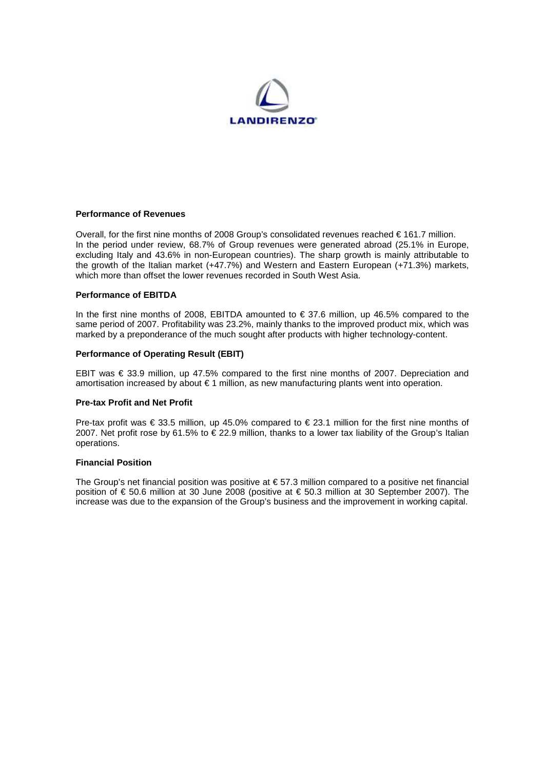

## **Performance of Revenues**

Overall, for the first nine months of 2008 Group's consolidated revenues reached € 161.7 million. In the period under review, 68.7% of Group revenues were generated abroad (25.1% in Europe, excluding Italy and 43.6% in non-European countries). The sharp growth is mainly attributable to the growth of the Italian market (+47.7%) and Western and Eastern European (+71.3%) markets, which more than offset the lower revenues recorded in South West Asia.

#### **Performance of EBITDA**

In the first nine months of 2008, EBITDA amounted to  $\epsilon$  37.6 million, up 46.5% compared to the same period of 2007. Profitability was 23.2%, mainly thanks to the improved product mix, which was marked by a preponderance of the much sought after products with higher technology-content.

## **Performance of Operating Result (EBIT)**

EBIT was € 33.9 million, up 47.5% compared to the first nine months of 2007. Depreciation and amortisation increased by about € 1 million, as new manufacturing plants went into operation.

# **Pre-tax Profit and Net Profit**

Pre-tax profit was  $\epsilon$  33.5 million, up 45.0% compared to  $\epsilon$  23.1 million for the first nine months of 2007. Net profit rose by 61.5% to  $\epsilon$  22.9 million, thanks to a lower tax liability of the Group's Italian operations.

#### **Financial Position**

The Group's net financial position was positive at € 57.3 million compared to a positive net financial position of € 50.6 million at 30 June 2008 (positive at € 50.3 million at 30 September 2007). The increase was due to the expansion of the Group's business and the improvement in working capital.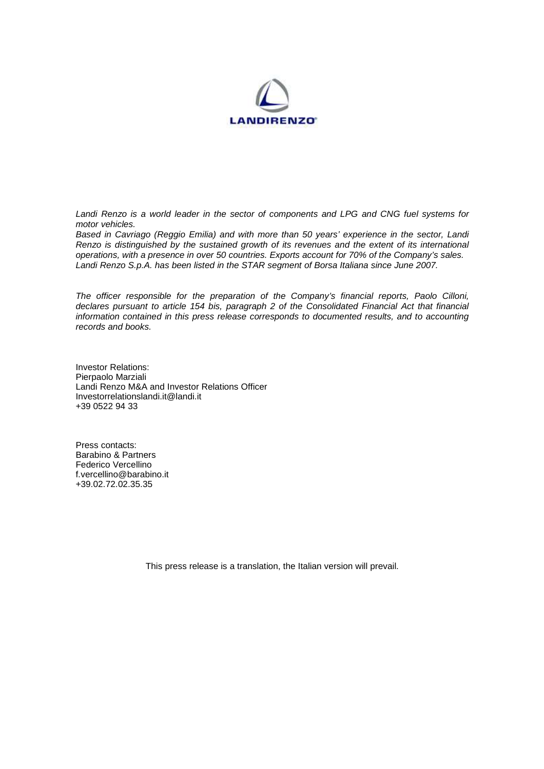

Landi Renzo is a world leader in the sector of components and LPG and CNG fuel systems for motor vehicles.

Based in Cavriago (Reggio Emilia) and with more than 50 years' experience in the sector, Landi Renzo is distinguished by the sustained growth of its revenues and the extent of its international operations, with a presence in over 50 countries. Exports account for 70% of the Company's sales. Landi Renzo S.p.A. has been listed in the STAR segment of Borsa Italiana since June 2007.

The officer responsible for the preparation of the Company's financial reports, Paolo Cilloni, declares pursuant to article 154 bis, paragraph 2 of the Consolidated Financial Act that financial information contained in this press release corresponds to documented results, and to accounting records and books.

Investor Relations: Pierpaolo Marziali Landi Renzo M&A and Investor Relations Officer Investorrelationslandi.it@landi.it +39 0522 94 33

Press contacts: Barabino & Partners Federico Vercellino f.vercellino@barabino.it +39.02.72.02.35.35

This press release is a translation, the Italian version will prevail.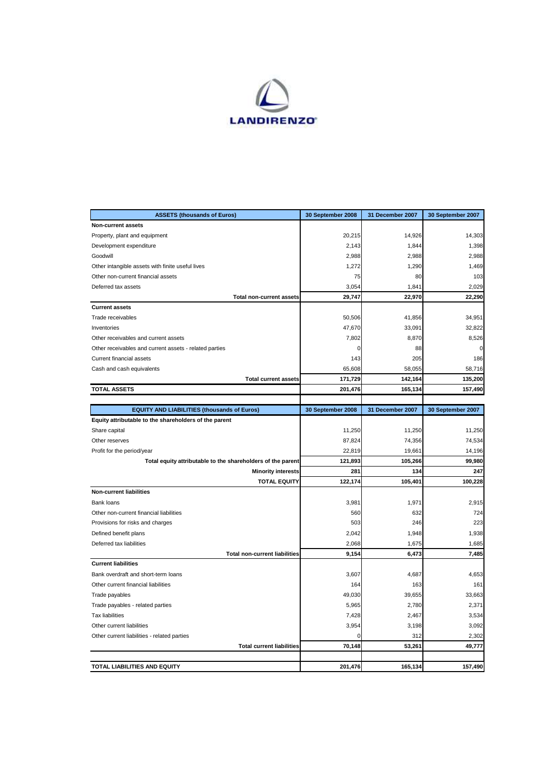

| <b>ASSETS (thousands of Euros)</b>                               | 30 September 2008 | 31 December 2007 | 30 September 2007 |
|------------------------------------------------------------------|-------------------|------------------|-------------------|
| Non-current assets                                               |                   |                  |                   |
| Property, plant and equipment                                    | 20,215            | 14,926           | 14,303            |
| Development expenditure                                          | 2,143             | 1,844            | 1,398             |
| Goodwill                                                         | 2,988             | 2,988            | 2,988             |
| Other intangible assets with finite useful lives                 | 1,272             | 1,290            | 1,469             |
| Other non-current financial assets                               | 75                | 80               | 103               |
| Deferred tax assets                                              | 3,054             | 1,841            | 2,029             |
| <b>Total non-current assets</b>                                  | 29,747            | 22,970           | 22,290            |
| <b>Current assets</b>                                            |                   |                  |                   |
| Trade receivables                                                | 50,506            | 41,856           | 34,951            |
| Inventories                                                      | 47,670            | 33,091           | 32,822            |
| Other receivables and current assets                             | 7,802             | 8,870            | 8,526             |
| Other receivables and current assets - related parties           | 0                 | 88               | $\Omega$          |
| Current financial assets                                         | 143               | 205              | 186               |
| Cash and cash equivalents                                        | 65.608            | 58,055           | 58,716            |
| <b>Total current assets</b>                                      | 171,729           | 142,164          | 135,200           |
| <b>TOTAL ASSETS</b>                                              | 201,476           | 165,134          | 157,490           |
|                                                                  |                   |                  |                   |
| <b>EQUITY AND LIABILITIES (thousands of Euros)</b>               | 30 September 2008 | 31 December 2007 | 30 September 2007 |
| Equity attributable to the shareholders of the parent            |                   |                  |                   |
| Share capital                                                    | 11,250            | 11,250           | 11,250            |
| Other reserves                                                   | 87,824            | 74,356           | 74,534            |
| Profit for the period/year                                       | 22,819            | 19,661           | 14,196            |
| Total equity attributable to the shareholders of the parent      | 121,893           | 105,266          | 99,980            |
| <b>Minority interests</b>                                        | 281               | 134              | 247               |
| <b>TOTAL EQUITY</b>                                              | 122,174           | 105,401          | 100,228           |
| <b>Non-current liabilities</b>                                   |                   |                  |                   |
| Bank loans                                                       | 3,981             | 1,971            | 2,915             |
| Other non-current financial liabilities                          | 560               | 632              | 724               |
| Provisions for risks and charges                                 | 503               | 246              | 223               |
| Defined benefit plans                                            | 2,042             | 1,948            | 1,938             |
| Deferred tax liabilities<br><b>Total non-current liabilities</b> | 2,068             | 1,675            | 1,685             |
| <b>Current liabilities</b>                                       | 9,154             | 6,473            | 7,485             |
| Bank overdraft and short-term loans                              | 3,607             | 4,687            | 4,653             |
| Other current financial liabilities                              | 164               | 163              | 161               |
| Trade payables                                                   | 49,030            | 39,655           | 33,663            |
| Trade payables - related parties                                 | 5,965             | 2,780            | 2,371             |
| <b>Tax liabilities</b>                                           | 7,428             | 2,467            | 3,534             |
| Other current liabilities                                        | 3,954             | 3,198            | 3,092             |
| Other current liabilities - related parties                      | O                 | 312              | 2,302             |
| <b>Total current liabilities</b>                                 | 70,148            | 53,261           | 49,777            |
|                                                                  |                   |                  |                   |
| TOTAL LIABILITIES AND EQUITY                                     | 201,476           | 165,134          | 157,490           |